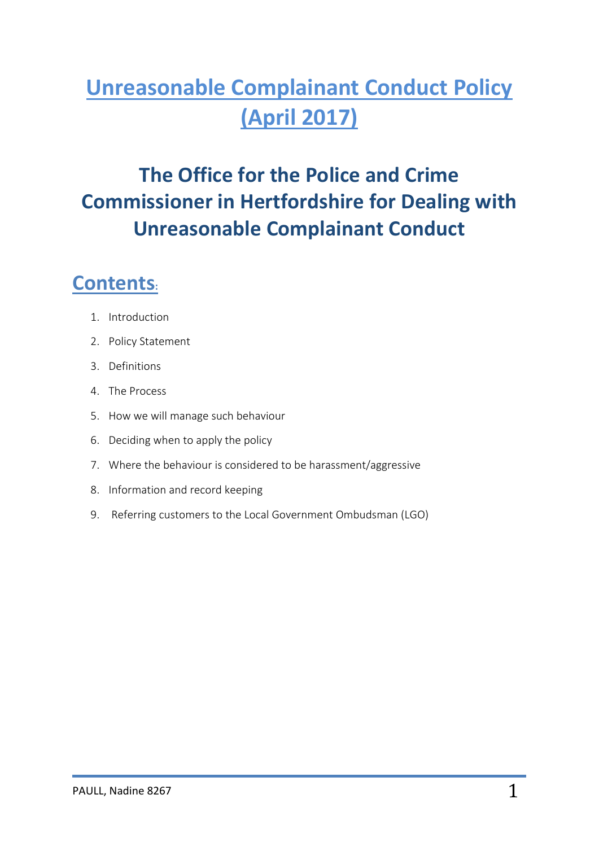# **Unreasonable Complainant Conduct Policy (April 2017)**

## **The Office for the Police and Crime Commissioner in Hertfordshire for Dealing with Unreasonable Complainant Conduct**

### **Contents:**

- 1. Introduction
- 2. Policy Statement
- 3. Definitions
- 4. The Process
- 5. How we will manage such behaviour
- 6. Deciding when to apply the policy
- 7. Where the behaviour is considered to be harassment/aggressive
- 8. Information and record keeping
- 9. Referring customers to the Local Government Ombudsman (LGO)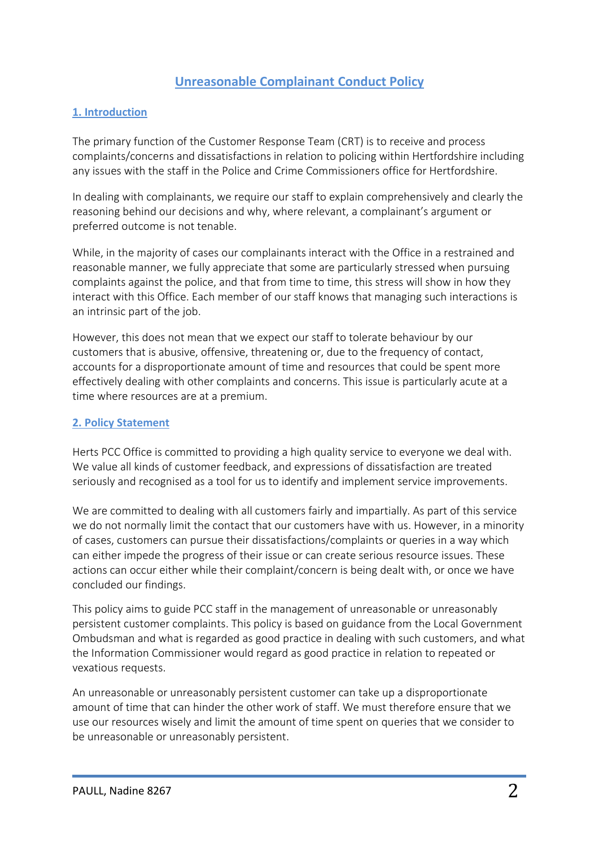#### **Unreasonable Complainant Conduct Policy**

#### **1. Introduction**

The primary function of the Customer Response Team (CRT) is to receive and process complaints/concerns and dissatisfactions in relation to policing within Hertfordshire including any issues with the staff in the Police and Crime Commissioners office for Hertfordshire.

In dealing with complainants, we require our staff to explain comprehensively and clearly the reasoning behind our decisions and why, where relevant, a complainant's argument or preferred outcome is not tenable.

While, in the majority of cases our complainants interact with the Office in a restrained and reasonable manner, we fully appreciate that some are particularly stressed when pursuing complaints against the police, and that from time to time, this stress will show in how they interact with this Office. Each member of our staff knows that managing such interactions is an intrinsic part of the job.

However, this does not mean that we expect our staff to tolerate behaviour by our customers that is abusive, offensive, threatening or, due to the frequency of contact, accounts for a disproportionate amount of time and resources that could be spent more effectively dealing with other complaints and concerns. This issue is particularly acute at a time where resources are at a premium.

#### **2. Policy Statement**

Herts PCC Office is committed to providing a high quality service to everyone we deal with. We value all kinds of customer feedback, and expressions of dissatisfaction are treated seriously and recognised as a tool for us to identify and implement service improvements.

We are committed to dealing with all customers fairly and impartially. As part of this service we do not normally limit the contact that our customers have with us. However, in a minority of cases, customers can pursue their dissatisfactions/complaints or queries in a way which can either impede the progress of their issue or can create serious resource issues. These actions can occur either while their complaint/concern is being dealt with, or once we have concluded our findings.

This policy aims to guide PCC staff in the management of unreasonable or unreasonably persistent customer complaints. This policy is based on guidance from the Local Government Ombudsman and what is regarded as good practice in dealing with such customers, and what the Information Commissioner would regard as good practice in relation to repeated or vexatious requests.

An unreasonable or unreasonably persistent customer can take up a disproportionate amount of time that can hinder the other work of staff. We must therefore ensure that we use our resources wisely and limit the amount of time spent on queries that we consider to be unreasonable or unreasonably persistent.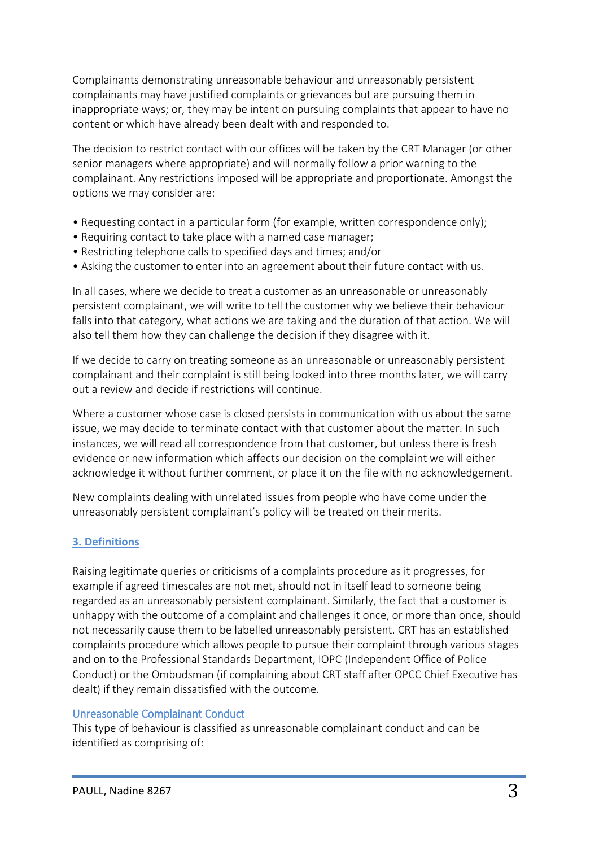Complainants demonstrating unreasonable behaviour and unreasonably persistent complainants may have justified complaints or grievances but are pursuing them in inappropriate ways; or, they may be intent on pursuing complaints that appear to have no content or which have already been dealt with and responded to.

The decision to restrict contact with our offices will be taken by the CRT Manager (or other senior managers where appropriate) and will normally follow a prior warning to the complainant. Any restrictions imposed will be appropriate and proportionate. Amongst the options we may consider are:

- Requesting contact in a particular form (for example, written correspondence only);
- Requiring contact to take place with a named case manager;
- Restricting telephone calls to specified days and times; and/or
- Asking the customer to enter into an agreement about their future contact with us.

In all cases, where we decide to treat a customer as an unreasonable or unreasonably persistent complainant, we will write to tell the customer why we believe their behaviour falls into that category, what actions we are taking and the duration of that action. We will also tell them how they can challenge the decision if they disagree with it.

If we decide to carry on treating someone as an unreasonable or unreasonably persistent complainant and their complaint is still being looked into three months later, we will carry out a review and decide if restrictions will continue.

Where a customer whose case is closed persists in communication with us about the same issue, we may decide to terminate contact with that customer about the matter. In such instances, we will read all correspondence from that customer, but unless there is fresh evidence or new information which affects our decision on the complaint we will either acknowledge it without further comment, or place it on the file with no acknowledgement.

New complaints dealing with unrelated issues from people who have come under the unreasonably persistent complainant's policy will be treated on their merits.

#### **3. Definitions**

Raising legitimate queries or criticisms of a complaints procedure as it progresses, for example if agreed timescales are not met, should not in itself lead to someone being regarded as an unreasonably persistent complainant. Similarly, the fact that a customer is unhappy with the outcome of a complaint and challenges it once, or more than once, should not necessarily cause them to be labelled unreasonably persistent. CRT has an established complaints procedure which allows people to pursue their complaint through various stages and on to the Professional Standards Department, IOPC (Independent Office of Police Conduct) or the Ombudsman (if complaining about CRT staff after OPCC Chief Executive has dealt) if they remain dissatisfied with the outcome.

#### Unreasonable Complainant Conduct

This type of behaviour is classified as unreasonable complainant conduct and can be identified as comprising of: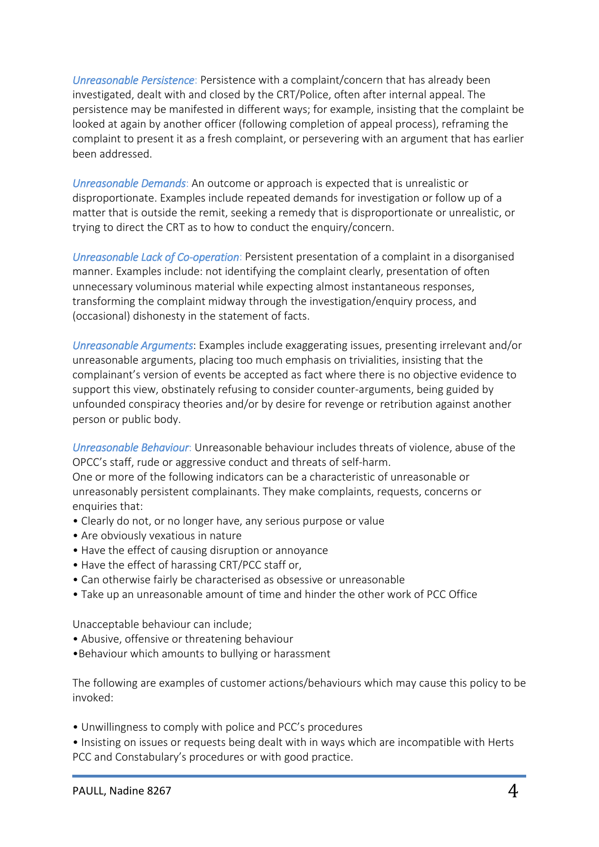*Unreasonable Persistence*: Persistence with a complaint/concern that has already been investigated, dealt with and closed by the CRT/Police, often after internal appeal. The persistence may be manifested in different ways; for example, insisting that the complaint be looked at again by another officer (following completion of appeal process), reframing the complaint to present it as a fresh complaint, or persevering with an argument that has earlier been addressed.

*Unreasonable Demands*: An outcome or approach is expected that is unrealistic or disproportionate. Examples include repeated demands for investigation or follow up of a matter that is outside the remit, seeking a remedy that is disproportionate or unrealistic, or trying to direct the CRT as to how to conduct the enquiry/concern.

*Unreasonable Lack of Co-operation*: Persistent presentation of a complaint in a disorganised manner. Examples include: not identifying the complaint clearly, presentation of often unnecessary voluminous material while expecting almost instantaneous responses, transforming the complaint midway through the investigation/enquiry process, and (occasional) dishonesty in the statement of facts.

*Unreasonable Arguments*: Examples include exaggerating issues, presenting irrelevant and/or unreasonable arguments, placing too much emphasis on trivialities, insisting that the complainant's version of events be accepted as fact where there is no objective evidence to support this view, obstinately refusing to consider counter-arguments, being guided by unfounded conspiracy theories and/or by desire for revenge or retribution against another person or public body.

*Unreasonable Behaviour*: Unreasonable behaviour includes threats of violence, abuse of the OPCC's staff, rude or aggressive conduct and threats of self-harm. One or more of the following indicators can be a characteristic of unreasonable or unreasonably persistent complainants. They make complaints, requests, concerns or enquiries that:

- Clearly do not, or no longer have, any serious purpose or value
- Are obviously vexatious in nature
- Have the effect of causing disruption or annoyance
- Have the effect of harassing CRT/PCC staff or,
- Can otherwise fairly be characterised as obsessive or unreasonable
- Take up an unreasonable amount of time and hinder the other work of PCC Office

Unacceptable behaviour can include;

- Abusive, offensive or threatening behaviour
- •Behaviour which amounts to bullying or harassment

The following are examples of customer actions/behaviours which may cause this policy to be invoked:

- Unwillingness to comply with police and PCC's procedures
- Insisting on issues or requests being dealt with in ways which are incompatible with Herts PCC and Constabulary's procedures or with good practice.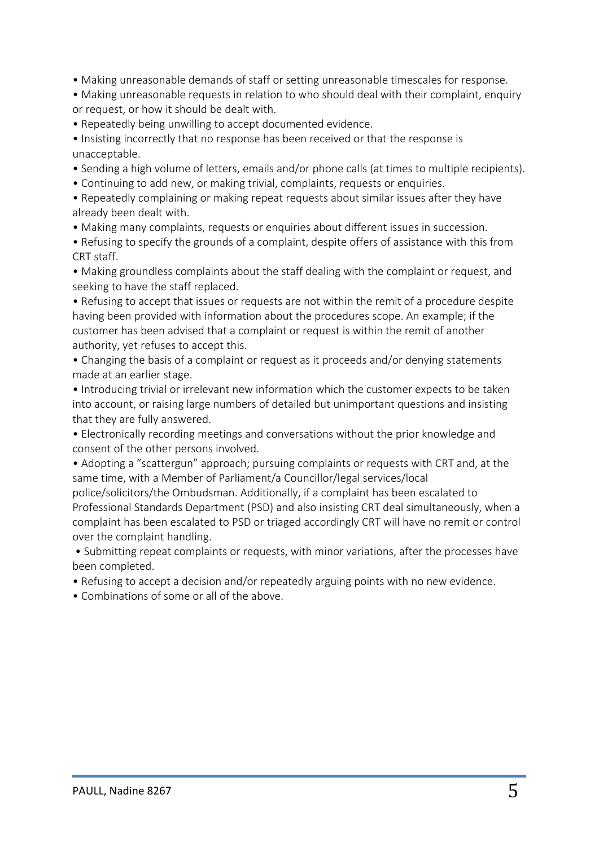- Making unreasonable demands of staff or setting unreasonable timescales for response.
- Making unreasonable requests in relation to who should deal with their complaint, enquiry or request, or how it should be dealt with.
- Repeatedly being unwilling to accept documented evidence.

• Insisting incorrectly that no response has been received or that the response is unacceptable.

- Sending a high volume of letters, emails and/or phone calls (at times to multiple recipients).
- Continuing to add new, or making trivial, complaints, requests or enquiries.

• Repeatedly complaining or making repeat requests about similar issues after they have already been dealt with.

- Making many complaints, requests or enquiries about different issues in succession.
- Refusing to specify the grounds of a complaint, despite offers of assistance with this from CRT staff.

• Making groundless complaints about the staff dealing with the complaint or request, and seeking to have the staff replaced.

• Refusing to accept that issues or requests are not within the remit of a procedure despite having been provided with information about the procedures scope. An example; if the customer has been advised that a complaint or request is within the remit of another authority, yet refuses to accept this.

• Changing the basis of a complaint or request as it proceeds and/or denying statements made at an earlier stage.

• Introducing trivial or irrelevant new information which the customer expects to be taken into account, or raising large numbers of detailed but unimportant questions and insisting that they are fully answered.

• Electronically recording meetings and conversations without the prior knowledge and consent of the other persons involved.

• Adopting a "scattergun" approach; pursuing complaints or requests with CRT and, at the same time, with a Member of Parliament/a Councillor/legal services/local

police/solicitors/the Ombudsman. Additionally, if a complaint has been escalated to Professional Standards Department (PSD) and also insisting CRT deal simultaneously, when a complaint has been escalated to PSD or triaged accordingly CRT will have no remit or control over the complaint handling.

- Submitting repeat complaints or requests, with minor variations, after the processes have been completed.
- Refusing to accept a decision and/or repeatedly arguing points with no new evidence.
- Combinations of some or all of the above.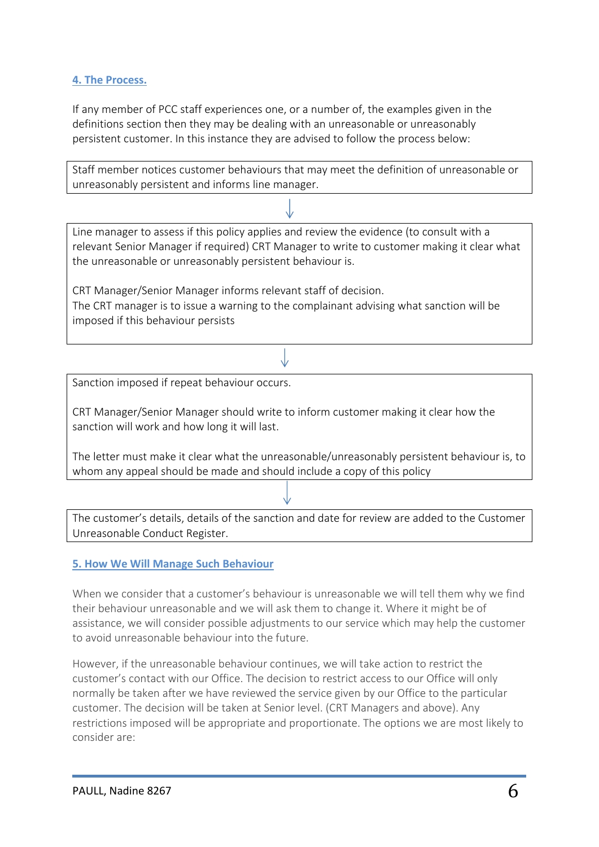#### **4. The Process.**

If any member of PCC staff experiences one, or a number of, the examples given in the definitions section then they may be dealing with an unreasonable or unreasonably persistent customer. In this instance they are advised to follow the process below:

Staff member notices customer behaviours that may meet the definition of unreasonable or unreasonably persistent and informs line manager.

Line manager to assess if this policy applies and review the evidence (to consult with a relevant Senior Manager if required) CRT Manager to write to customer making it clear what the unreasonable or unreasonably persistent behaviour is.

CRT Manager/Senior Manager informs relevant staff of decision. The CRT manager is to issue a warning to the complainant advising what sanction will be imposed if this behaviour persists

Sanction imposed if repeat behaviour occurs.

CRT Manager/Senior Manager should write to inform customer making it clear how the sanction will work and how long it will last.

The letter must make it clear what the unreasonable/unreasonably persistent behaviour is, to whom any appeal should be made and should include a copy of this policy

The customer's details, details of the sanction and date for review are added to the Customer Unreasonable Conduct Register.

#### **5. How We Will Manage Such Behaviour**

When we consider that a customer's behaviour is unreasonable we will tell them why we find their behaviour unreasonable and we will ask them to change it. Where it might be of assistance, we will consider possible adjustments to our service which may help the customer to avoid unreasonable behaviour into the future.

However, if the unreasonable behaviour continues, we will take action to restrict the customer's contact with our Office. The decision to restrict access to our Office will only normally be taken after we have reviewed the service given by our Office to the particular customer. The decision will be taken at Senior level. (CRT Managers and above). Any restrictions imposed will be appropriate and proportionate. The options we are most likely to consider are: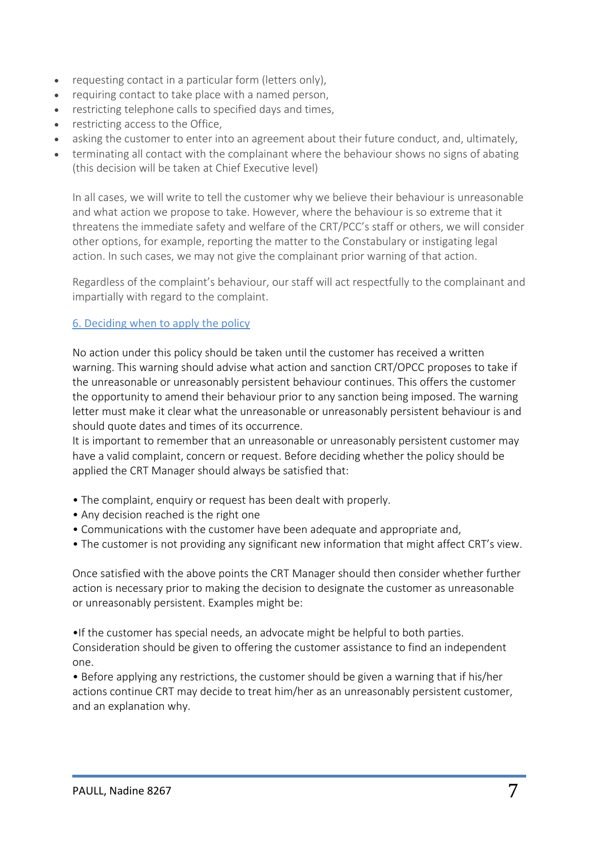- requesting contact in a particular form (letters only),
- requiring contact to take place with a named person,
- restricting telephone calls to specified days and times,
- restricting access to the Office,
- asking the customer to enter into an agreement about their future conduct, and, ultimately,
- terminating all contact with the complainant where the behaviour shows no signs of abating (this decision will be taken at Chief Executive level)

In all cases, we will write to tell the customer why we believe their behaviour is unreasonable and what action we propose to take. However, where the behaviour is so extreme that it threatens the immediate safety and welfare of the CRT/PCC's staff or others, we will consider other options, for example, reporting the matter to the Constabulary or instigating legal action. In such cases, we may not give the complainant prior warning of that action.

Regardless of the complaint's behaviour, our staff will act respectfully to the complainant and impartially with regard to the complaint.

#### 6. Deciding when to apply the policy

No action under this policy should be taken until the customer has received a written warning. This warning should advise what action and sanction CRT/OPCC proposes to take if the unreasonable or unreasonably persistent behaviour continues. This offers the customer the opportunity to amend their behaviour prior to any sanction being imposed. The warning letter must make it clear what the unreasonable or unreasonably persistent behaviour is and should quote dates and times of its occurrence.

It is important to remember that an unreasonable or unreasonably persistent customer may have a valid complaint, concern or request. Before deciding whether the policy should be applied the CRT Manager should always be satisfied that:

- The complaint, enquiry or request has been dealt with properly.
- Any decision reached is the right one
- Communications with the customer have been adequate and appropriate and,
- The customer is not providing any significant new information that might affect CRT's view.

Once satisfied with the above points the CRT Manager should then consider whether further action is necessary prior to making the decision to designate the customer as unreasonable or unreasonably persistent. Examples might be:

•If the customer has special needs, an advocate might be helpful to both parties. Consideration should be given to offering the customer assistance to find an independent one.

• Before applying any restrictions, the customer should be given a warning that if his/her actions continue CRT may decide to treat him/her as an unreasonably persistent customer, and an explanation why.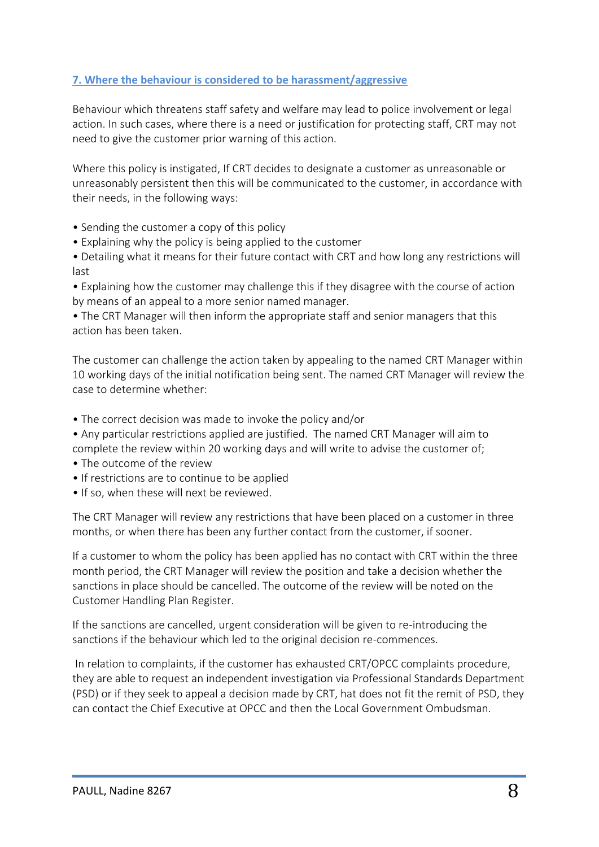#### **7. Where the behaviour is considered to be harassment/aggressive**

Behaviour which threatens staff safety and welfare may lead to police involvement or legal action. In such cases, where there is a need or justification for protecting staff, CRT may not need to give the customer prior warning of this action.

Where this policy is instigated, If CRT decides to designate a customer as unreasonable or unreasonably persistent then this will be communicated to the customer, in accordance with their needs, in the following ways:

- Sending the customer a copy of this policy
- Explaining why the policy is being applied to the customer
- Detailing what it means for their future contact with CRT and how long any restrictions will last
- Explaining how the customer may challenge this if they disagree with the course of action by means of an appeal to a more senior named manager.
- The CRT Manager will then inform the appropriate staff and senior managers that this action has been taken.

The customer can challenge the action taken by appealing to the named CRT Manager within 10 working days of the initial notification being sent. The named CRT Manager will review the case to determine whether:

- The correct decision was made to invoke the policy and/or
- Any particular restrictions applied are justified. The named CRT Manager will aim to complete the review within 20 working days and will write to advise the customer of;
- The outcome of the review
- If restrictions are to continue to be applied
- If so, when these will next be reviewed.

The CRT Manager will review any restrictions that have been placed on a customer in three months, or when there has been any further contact from the customer, if sooner.

If a customer to whom the policy has been applied has no contact with CRT within the three month period, the CRT Manager will review the position and take a decision whether the sanctions in place should be cancelled. The outcome of the review will be noted on the Customer Handling Plan Register.

If the sanctions are cancelled, urgent consideration will be given to re-introducing the sanctions if the behaviour which led to the original decision re-commences.

In relation to complaints, if the customer has exhausted CRT/OPCC complaints procedure, they are able to request an independent investigation via Professional Standards Department (PSD) or if they seek to appeal a decision made by CRT, hat does not fit the remit of PSD, they can contact the Chief Executive at OPCC and then the Local Government Ombudsman.